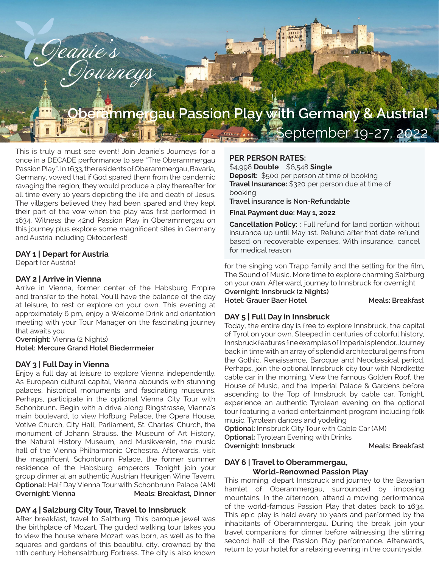# **Oberammergau Passion Play with Germany & Austria!**  September 19-27, 2022

This is truly a must see event! Join Jeanie's Journeys for a once in a DECADE performance to see "The Oberammergau Passion Play". In 1633, the residents of Oberammergau, Bavaria, Germany, vowed that if God spared them from the pandemic ravaging the region, they would produce a play thereafter for all time every 10 years depicting the life and death of Jesus. The villagers believed they had been spared and they kept their part of the vow when the play was first performed in 1634. Witness the 42nd Passion Play in Oberammergau on this journey plus explore some magnificent sites in Germany and Austria including Oktoberfest!

Geanie's

### **DAY 1 | Depart for Austria**

Depart for Austria!

#### **DAY 2 | Arrive in Vienna**

Arrive in Vienna, former center of the Habsburg Empire and transfer to the hotel. You'll have the balance of the day at leisure, to rest or explore on your own. This evening at approximately 6 pm, enjoy a Welcome Drink and orientation meeting with your Tour Manager on the fascinating journey that awaits you

**Overnight:** Vienna (2 Nights) **Hotel: Mercure Grand Hotel Biederrmeier**

#### **DAY 3 | Full Day in Vienna**

Enjoy a full day at leisure to explore Vienna independently. As European cultural capital, Vienna abounds with stunning palaces, historical monuments and fascinating museums. Perhaps, participate in the optional Vienna City Tour with Schonbrunn. Begin with a drive along Ringstrasse, Vienna's main boulevard, to view Hofburg Palace, the Opera House, Votive Church, City Hall, Parliament, St. Charles' Church, the monument of Johann Strauss, the Museum of Art History, the Natural History Museum, and Musikverein, the music hall of the Vienna Philharmonic Orchestra. Afterwards, visit the magnificent Schonbrunn Palace, the former summer residence of the Habsburg emperors. Tonight join your group dinner at an authentic Austrian Heurigen Wine Tavern. **Optional:** Half Day Vienna Tour with Schonbrunn Palace (AM) **Overnight: Vienna Meals: Breakfast, Dinner** 

### **DAY 4 | Salzburg City Tour, Travel to Innsbruck**

After breakfast, travel to Salzburg. This baroque jewel was the birthplace of Mozart. The guided walking tour takes you to view the house where Mozart was born, as well as to the squares and gardens of this beautiful city, crowned by the 11th century Hohensalzburg Fortress. The city is also known

### **PER PERSON RATES:**

\$4,998 **Double** \$6,548 **Single Deposit:** \$500 per person at time of booking **Travel Insurance:** \$320 per person due at time of booking

**Travel insurance is Non-Refundable**

#### **Final Payment due: May 1, 2022**

**Cancellation Policy:** : Full refund for land portion without insurance up until May 1st. Refund after that date refund based on recoverable expenses. With insurance, cancel for medical reason

for the singing von Trapp family and the setting for the film, The Sound of Music. More time to explore charming Salzburg on your own. Afterward, journey to Innsbruck for overnight **Overnight: Innsbruck (2 Nights)**  Hotel: Grauer Baer Hotel **Meals: Breakfast** 

## **DAY 5 | Full Day in Innsbruck**

Today, the entire day is free to explore Innsbruck, the capital of Tyrol on your own. Steeped in centuries of colorful history, Innsbruck features fine examples of Imperial splendor. Journey back in time with an array of splendid architectural gems from the Gothic, Renaissance, Baroque and Neoclassical period. Perhaps, join the optional Innsbruck city tour with Nordkette cable car in the morning. View the famous Golden Roof, the House of Music, and the Imperial Palace & Gardens before ascending to the Top of Innsbruck by cable car. Tonight, experience an authentic Tyrolean evening on the optional tour featuring a varied entertainment program including folk music, Tyrolean dances and yodeling

**Optional:** Innsbruck City Tour with Cable Car (AM)

**Optional:** Tyrolean Evening with Drinks

**Overnight: Innsbruck Meals: Breakfast** 

### **DAY 6 | Travel to Oberammergau, World-Renowned Passion Play**

This morning, depart Innsbruck and journey to the Bavarian hamlet of Oberammergau, surrounded by imposing mountains. In the afternoon, attend a moving performance of the world-famous Passion Play that dates back to 1634. This epic play is held every 10 years and performed by the inhabitants of Oberammergau. During the break, join your travel companions for dinner before witnessing the stirring second half of the Passion Play performance. Afterwards, return to your hotel for a relaxing evening in the countryside.